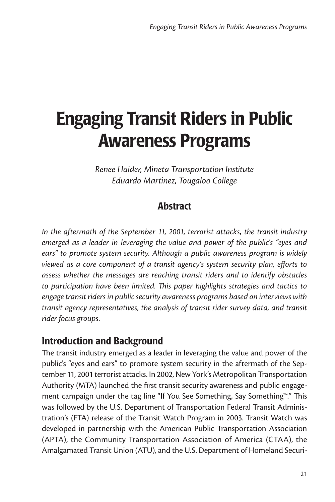# Engaging Transit Riders in Public Awareness Programs

*Renee Haider, Mineta Transportation Institute Eduardo Martinez, Tougaloo College*

## Abstract

*In the aftermath of the September 11, 2001, terrorist attacks, the transit industry emerged as a leader in leveraging the value and power of the public's "eyes and ears" to promote system security. Although a public awareness program is widely viewed as a core component of a transit agency's system security plan, efforts to assess whether the messages are reaching transit riders and to identify obstacles to participation have been limited. This paper highlights strategies and tactics to engage transit riders in public security awareness programs based on interviews with transit agency representatives, the analysis of transit rider survey data, and transit rider focus groups.* 

## Introduction and Background

The transit industry emerged as a leader in leveraging the value and power of the public's "eyes and ears" to promote system security in the aftermath of the September 11, 2001 terrorist attacks. In 2002, New York's Metropolitan Transportation Authority (MTA) launched the first transit security awareness and public engagement campaign under the tag line "If You See Something, Say Something™." This was followed by the U.S. Department of Transportation Federal Transit Administration's (FTA) release of the Transit Watch Program in 2003. Transit Watch was developed in partnership with the American Public Transportation Association (APTA), the Community Transportation Association of America (CTAA), the Amalgamated Transit Union (ATU), and the U.S. Department of Homeland Securi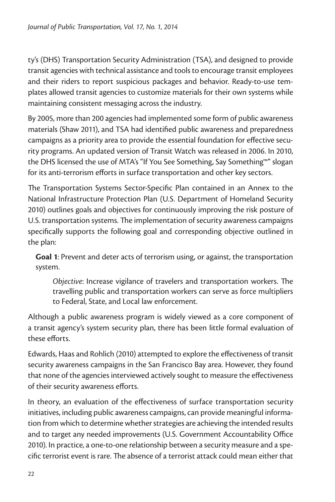ty's (DHS) Transportation Security Administration (TSA), and designed to provide transit agencies with technical assistance and tools to encourage transit employees and their riders to report suspicious packages and behavior. Ready-to-use templates allowed transit agencies to customize materials for their own systems while maintaining consistent messaging across the industry.

By 2005, more than 200 agencies had implemented some form of public awareness materials (Shaw 2011), and TSA had identified public awareness and preparedness campaigns as a priority area to provide the essential foundation for effective security programs. An updated version of Transit Watch was released in 2006. In 2010, the DHS licensed the use of MTA's "If You See Something, Say Something™" slogan for its anti-terrorism efforts in surface transportation and other key sectors.

The Transportation Systems Sector-Specific Plan contained in an Annex to the National Infrastructure Protection Plan (U.S. Department of Homeland Security 2010) outlines goals and objectives for continuously improving the risk posture of U.S. transportation systems. The implementation of security awareness campaigns specifically supports the following goal and corresponding objective outlined in the plan:

**Goal 1**: Prevent and deter acts of terrorism using, or against, the transportation system.

*Objective*: Increase vigilance of travelers and transportation workers. The travelling public and transportation workers can serve as force multipliers to Federal, State, and Local law enforcement.

Although a public awareness program is widely viewed as a core component of a transit agency's system security plan, there has been little formal evaluation of these efforts.

Edwards, Haas and Rohlich (2010) attempted to explore the effectiveness of transit security awareness campaigns in the San Francisco Bay area. However, they found that none of the agencies interviewed actively sought to measure the effectiveness of their security awareness efforts.

In theory, an evaluation of the effectiveness of surface transportation security initiatives, including public awareness campaigns, can provide meaningful information from which to determine whether strategies are achieving the intended results and to target any needed improvements (U.S. Government Accountability Office 2010). In practice, a one-to-one relationship between a security measure and a specific terrorist event is rare. The absence of a terrorist attack could mean either that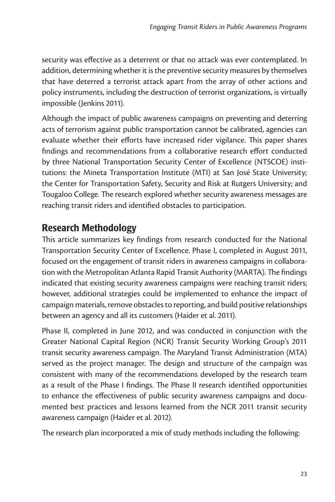security was effective as a deterrent or that no attack was ever contemplated. In addition, determining whether it is the preventive security measures by themselves that have deterred a terrorist attack apart from the array of other actions and policy instruments, including the destruction of terrorist organizations, is virtually impossible (Jenkins 2011).

Although the impact of public awareness campaigns on preventing and deterring acts of terrorism against public transportation cannot be calibrated, agencies can evaluate whether their efforts have increased rider vigilance. This paper shares findings and recommendations from a collaborative research effort conducted by three National Transportation Security Center of Excellence (NTSCOE) institutions: the Mineta Transportation Institute (MTI) at San José State University; the Center for Transportation Safety, Security and Risk at Rutgers University; and Tougaloo College. The research explored whether security awareness messages are reaching transit riders and identified obstacles to participation.

## Research Methodology

This article summarizes key findings from research conducted for the National Transportation Security Center of Excellence. Phase I, completed in August 2011, focused on the engagement of transit riders in awareness campaigns in collaboration with the Metropolitan Atlanta Rapid Transit Authority (MARTA). The findings indicated that existing security awareness campaigns were reaching transit riders; however, additional strategies could be implemented to enhance the impact of campaign materials, remove obstacles to reporting, and build positive relationships between an agency and all its customers (Haider et al. 2011).

Phase II, completed in June 2012, and was conducted in conjunction with the Greater National Capital Region (NCR) Transit Security Working Group's 2011 transit security awareness campaign. The Maryland Transit Administration (MTA) served as the project manager. The design and structure of the campaign was consistent with many of the recommendations developed by the research team as a result of the Phase I findings. The Phase II research identified opportunities to enhance the effectiveness of public security awareness campaigns and documented best practices and lessons learned from the NCR 2011 transit security awareness campaign (Haider et al. 2012).

The research plan incorporated a mix of study methods including the following: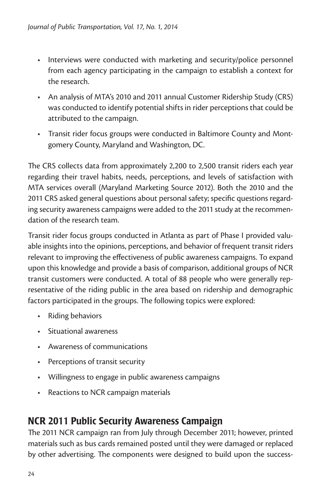- • Interviews were conducted with marketing and security/police personnel from each agency participating in the campaign to establish a context for the research.
- • An analysis of MTA's 2010 and 2011 annual Customer Ridership Study (CRS) was conducted to identify potential shifts in rider perceptions that could be attributed to the campaign.
- Transit rider focus groups were conducted in Baltimore County and Montgomery County, Maryland and Washington, DC.

The CRS collects data from approximately 2,200 to 2,500 transit riders each year regarding their travel habits, needs, perceptions, and levels of satisfaction with MTA services overall (Maryland Marketing Source 2012). Both the 2010 and the 2011 CRS asked general questions about personal safety; specific questions regarding security awareness campaigns were added to the 2011 study at the recommendation of the research team.

Transit rider focus groups conducted in Atlanta as part of Phase I provided valuable insights into the opinions, perceptions, and behavior of frequent transit riders relevant to improving the effectiveness of public awareness campaigns. To expand upon this knowledge and provide a basis of comparison, additional groups of NCR transit customers were conducted. A total of 88 people who were generally representative of the riding public in the area based on ridership and demographic factors participated in the groups. The following topics were explored:

- • Riding behaviors
- • Situational awareness
- • Awareness of communications
- • Perceptions of transit security
- Willingness to engage in public awareness campaigns
- • Reactions to NCR campaign materials

## NCR 2011 Public Security Awareness Campaign

The 2011 NCR campaign ran from July through December 2011; however, printed materials such as bus cards remained posted until they were damaged or replaced by other advertising. The components were designed to build upon the success-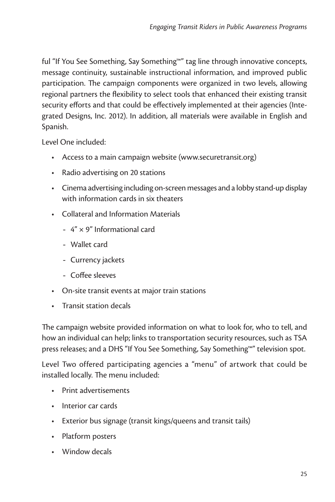ful "If You See Something, Say Something™" tag line through innovative concepts, message continuity, sustainable instructional information, and improved public participation. The campaign components were organized in two levels, allowing regional partners the flexibility to select tools that enhanced their existing transit security efforts and that could be effectively implemented at their agencies (Integrated Designs, Inc. 2012). In addition, all materials were available in English and Spanish.

Level One included:

- Access to a main campaign website (www.securetransit.org)
- Radio advertising on 20 stations
- • Cinema advertising including on-screen messages and a lobby stand-up display with information cards in six theaters
- • Collateral and Information Materials
	- 4" × 9" Informational card
	- Wallet card
	- Currency jackets
	- Coffee sleeves
- On-site transit events at major train stations
- • Transit station decals

The campaign website provided information on what to look for, who to tell, and how an individual can help; links to transportation security resources, such as TSA press releases; and a DHS "If You See Something, Say Something™" television spot.

Level Two offered participating agencies a "menu" of artwork that could be installed locally. The menu included:

- • Print advertisements
- • Interior car cards
- Exterior bus signage (transit kings/queens and transit tails)
- • Platform posters
- • Window decals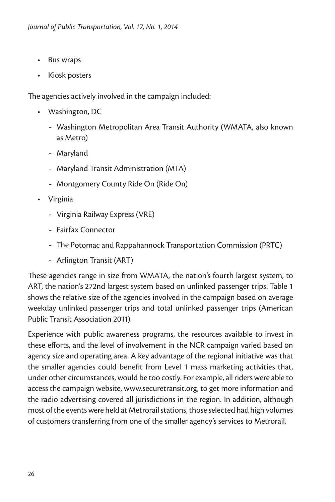- • Bus wraps
- • Kiosk posters

The agencies actively involved in the campaign included:

- • Washington, DC
	- Washington Metropolitan Area Transit Authority (WMATA, also known as Metro)
	- Maryland
	- Maryland Transit Administration (MTA)
	- Montgomery County Ride On (Ride On)
- • Virginia
	- Virginia Railway Express (VRE)
	- Fairfax Connector
	- The Potomac and Rappahannock Transportation Commission (PRTC)
	- Arlington Transit (ART)

These agencies range in size from WMATA, the nation's fourth largest system, to ART, the nation's 272nd largest system based on unlinked passenger trips. Table 1 shows the relative size of the agencies involved in the campaign based on average weekday unlinked passenger trips and total unlinked passenger trips (American Public Transit Association 2011).

Experience with public awareness programs, the resources available to invest in these efforts, and the level of involvement in the NCR campaign varied based on agency size and operating area. A key advantage of the regional initiative was that the smaller agencies could benefit from Level 1 mass marketing activities that, under other circumstances, would be too costly. For example, all riders were able to access the campaign website, www.securetransit.org, to get more information and the radio advertising covered all jurisdictions in the region. In addition, although most of the events were held at Metrorail stations, those selected had high volumes of customers transferring from one of the smaller agency's services to Metrorail.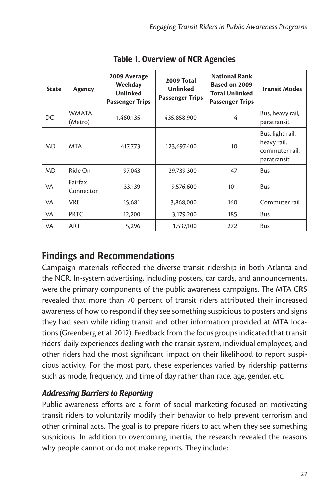| <b>State</b> | Agency                  | 2009 Average<br>Weekday<br><b>Unlinked</b><br><b>Passenger Trips</b> | 2009 Total<br><b>Unlinked</b><br><b>Passenger Trips</b> | <b>National Rank</b><br>Based on 2009<br><b>Total Unlinked</b><br><b>Passenger Trips</b> | <b>Transit Modes</b>                                             |
|--------------|-------------------------|----------------------------------------------------------------------|---------------------------------------------------------|------------------------------------------------------------------------------------------|------------------------------------------------------------------|
| DC           | <b>WMATA</b><br>(Metro) | 1,460,135                                                            | 435,858,900                                             | 4                                                                                        | Bus, heavy rail,<br>paratransit                                  |
| <b>MD</b>    | <b>MTA</b>              | 417.773                                                              | 123,697,400                                             | 10                                                                                       | Bus, light rail,<br>heavy rail,<br>commuter rail,<br>paratransit |
| <b>MD</b>    | Ride On                 | 97,043                                                               | 29,739,300                                              | 47                                                                                       | Bus                                                              |
| VA           | Fairfax<br>Connector    | 33,139                                                               | 9,576,600                                               | 101                                                                                      | Bus                                                              |
| VA           | <b>VRE</b>              | 15,681                                                               | 3,868,000                                               | 160                                                                                      | Commuter rail                                                    |
| VA           | <b>PRTC</b>             | 12,200                                                               | 3,179,200                                               | 185                                                                                      | Bus                                                              |
| <b>VA</b>    | ART                     | 5,296                                                                | 1,537,100                                               | 272                                                                                      | Bus                                                              |

Table 1. Overview of NCR Agencies

## Findings and Recommendations

Campaign materials reflected the diverse transit ridership in both Atlanta and the NCR. In-system advertising, including posters, car cards, and announcements, were the primary components of the public awareness campaigns. The MTA CRS revealed that more than 70 percent of transit riders attributed their increased awareness of how to respond if they see something suspicious to posters and signs they had seen while riding transit and other information provided at MTA locations (Greenberg et al. 2012). Feedback from the focus groups indicated that transit riders' daily experiences dealing with the transit system, individual employees, and other riders had the most significant impact on their likelihood to report suspicious activity. For the most part, these experiences varied by ridership patterns such as mode, frequency, and time of day rather than race, age, gender, etc.

#### *Addressing Barriers to Reporting*

Public awareness efforts are a form of social marketing focused on motivating transit riders to voluntarily modify their behavior to help prevent terrorism and other criminal acts. The goal is to prepare riders to act when they see something suspicious. In addition to overcoming inertia, the research revealed the reasons why people cannot or do not make reports. They include: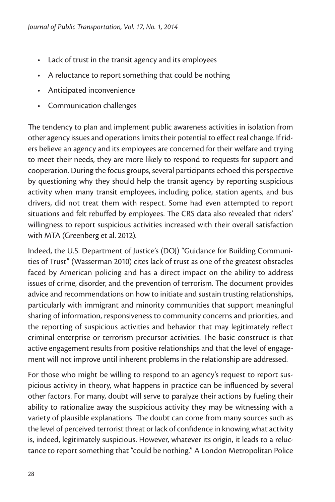- Lack of trust in the transit agency and its employees
- • A reluctance to report something that could be nothing
- • Anticipated inconvenience
- • Communication challenges

The tendency to plan and implement public awareness activities in isolation from other agency issues and operations limits their potential to effect real change. If riders believe an agency and its employees are concerned for their welfare and trying to meet their needs, they are more likely to respond to requests for support and cooperation. During the focus groups, several participants echoed this perspective by questioning why they should help the transit agency by reporting suspicious activity when many transit employees, including police, station agents, and bus drivers, did not treat them with respect. Some had even attempted to report situations and felt rebuffed by employees. The CRS data also revealed that riders' willingness to report suspicious activities increased with their overall satisfaction with MTA (Greenberg et al. 2012).

Indeed, the U.S. Department of Justice's (DOJ) "Guidance for Building Communities of Trust" (Wasserman 2010) cites lack of trust as one of the greatest obstacles faced by American policing and has a direct impact on the ability to address issues of crime, disorder, and the prevention of terrorism. The document provides advice and recommendations on how to initiate and sustain trusting relationships, particularly with immigrant and minority communities that support meaningful sharing of information, responsiveness to community concerns and priorities, and the reporting of suspicious activities and behavior that may legitimately reflect criminal enterprise or terrorism precursor activities. The basic construct is that active engagement results from positive relationships and that the level of engagement will not improve until inherent problems in the relationship are addressed.

For those who might be willing to respond to an agency's request to report suspicious activity in theory, what happens in practice can be influenced by several other factors. For many, doubt will serve to paralyze their actions by fueling their ability to rationalize away the suspicious activity they may be witnessing with a variety of plausible explanations. The doubt can come from many sources such as the level of perceived terrorist threat or lack of confidence in knowing what activity is, indeed, legitimately suspicious. However, whatever its origin, it leads to a reluctance to report something that "could be nothing." A London Metropolitan Police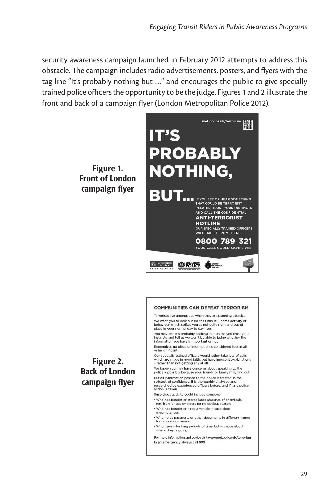security awareness campaign launched in February 2012 attempts to address this obstacle. The campaign includes radio advertisements, posters, and flyers with the tag line "It's probably nothing but …" and encourages the public to give specially trained police officers the opportunity to be the judge. Figures 1 and 2 illustrate the front and back of a campaign flyer (London Metropolitan Police 2012).



#### COMMUNITIES CAN DEFEAT TEDDODISM

Terrorists live amongst us when they are planning attacks. We want you to look out for the unusual - some activity or we want you to look out of the distance and the behaviour which strikes you as not quite right and out of<br>place in your normal day to day lives.

You may feel it's probably nothing, but unless you trust your instincts and tell us we won't be able to judge whether the<br>information you have is important or not.

Remember, no plece of information is considered too small<br>Remember, no plece of information is considered too small<br>or insignificant.

Our specially trained officers would rather take lots of calls which are made in good faith, but have innocent explanations - rather than not getting any at all.

We know you may have concerns about speaking to the police - possibly because your friends or family may find out. But all information passed to the police is treated in the strictest of confidence. It is thoroughly analysed and<br>researched by experienced officers before, and if, any police action is taken.

Suspicious activity could include someone:

- . Who has bought or stored large amounts of chemicals,<br>fertilisers or gas cylinders for no obvious reason.
- Who has bought or hired a vehicle in suspicious circumstances
- . Who holds passports or other documents in different names

In an emergency always call 999

- . Who travels for long periods of time, but is vague about
- where they're going For more information and advice visit www.met.police.uk/terrorism

Figure 2. Back of London campaign flyer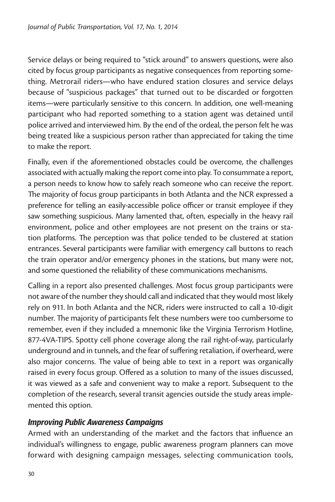Service delays or being required to "stick around" to answers questions, were also cited by focus group participants as negative consequences from reporting something. Metrorail riders—who have endured station closures and service delays because of "suspicious packages" that turned out to be discarded or forgotten items—were particularly sensitive to this concern. In addition, one well-meaning participant who had reported something to a station agent was detained until police arrived and interviewed him. By the end of the ordeal, the person felt he was being treated like a suspicious person rather than appreciated for taking the time to make the report.

Finally, even if the aforementioned obstacles could be overcome, the challenges associated with actually making the report come into play. To consummate a report, a person needs to know how to safely reach someone who can receive the report. The majority of focus group participants in both Atlanta and the NCR expressed a preference for telling an easily-accessible police officer or transit employee if they saw something suspicious. Many lamented that, often, especially in the heavy rail environment, police and other employees are not present on the trains or station platforms. The perception was that police tended to be clustered at station entrances. Several participants were familiar with emergency call buttons to reach the train operator and/or emergency phones in the stations, but many were not, and some questioned the reliability of these communications mechanisms.

Calling in a report also presented challenges. Most focus group participants were not aware of the number they should call and indicated that they would most likely rely on 911. In both Atlanta and the NCR, riders were instructed to call a 10-digit number. The majority of participants felt these numbers were too cumbersome to remember, even if they included a mnemonic like the Virginia Terrorism Hotline, 877-4VA-TIPS. Spotty cell phone coverage along the rail right-of-way, particularly underground and in tunnels, and the fear of suffering retaliation, if overheard, were also major concerns. The value of being able to text in a report was organically raised in every focus group. Offered as a solution to many of the issues discussed, it was viewed as a safe and convenient way to make a report. Subsequent to the completion of the research, several transit agencies outside the study areas implemented this option.

#### *Improving Public Awareness Campaigns*

Armed with an understanding of the market and the factors that influence an individual's willingness to engage, public awareness program planners can move forward with designing campaign messages, selecting communication tools,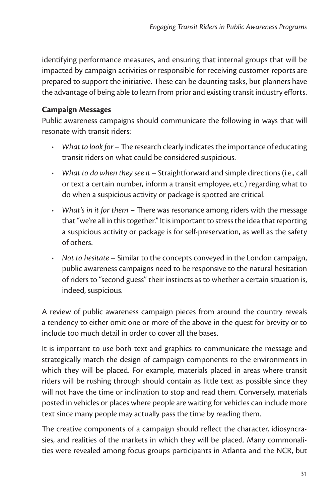identifying performance measures, and ensuring that internal groups that will be impacted by campaign activities or responsible for receiving customer reports are prepared to support the initiative. These can be daunting tasks, but planners have the advantage of being able to learn from prior and existing transit industry efforts.

#### **Campaign Messages**

Public awareness campaigns should communicate the following in ways that will resonate with transit riders:

- *• What to look for* The research clearly indicates the importance of educating transit riders on what could be considered suspicious.
- *• What to do when they see it* Straightforward and simple directions (i.e., call or text a certain number, inform a transit employee, etc.) regarding what to do when a suspicious activity or package is spotted are critical.
- *• What's in it for them* There was resonance among riders with the message that "we're all in this together." It is important to stress the idea that reporting a suspicious activity or package is for self-preservation, as well as the safety of others.
- *• Not to hesitate* Similar to the concepts conveyed in the London campaign, public awareness campaigns need to be responsive to the natural hesitation of riders to "second guess" their instincts as to whether a certain situation is, indeed, suspicious.

A review of public awareness campaign pieces from around the country reveals a tendency to either omit one or more of the above in the quest for brevity or to include too much detail in order to cover all the bases.

It is important to use both text and graphics to communicate the message and strategically match the design of campaign components to the environments in which they will be placed. For example, materials placed in areas where transit riders will be rushing through should contain as little text as possible since they will not have the time or inclination to stop and read them. Conversely, materials posted in vehicles or places where people are waiting for vehicles can include more text since many people may actually pass the time by reading them.

The creative components of a campaign should reflect the character, idiosyncrasies, and realities of the markets in which they will be placed. Many commonalities were revealed among focus groups participants in Atlanta and the NCR, but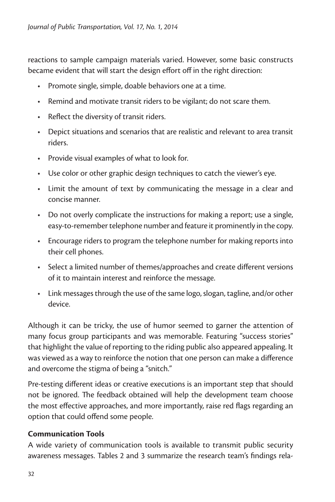reactions to sample campaign materials varied. However, some basic constructs became evident that will start the design effort off in the right direction:

- • Promote single, simple, doable behaviors one at a time.
- Remind and motivate transit riders to be vigilant; do not scare them.
- • Reflect the diversity of transit riders.
- Depict situations and scenarios that are realistic and relevant to area transit riders.
- • Provide visual examples of what to look for.
- Use color or other graphic design techniques to catch the viewer's eye.
- Limit the amount of text by communicating the message in a clear and concise manner.
- Do not overly complicate the instructions for making a report; use a single, easy-to-remember telephone number and feature it prominently in the copy.
- Encourage riders to program the telephone number for making reports into their cell phones.
- Select a limited number of themes/approaches and create different versions of it to maintain interest and reinforce the message.
- Link messages through the use of the same logo, slogan, tagline, and/or other device.

Although it can be tricky, the use of humor seemed to garner the attention of many focus group participants and was memorable. Featuring "success stories" that highlight the value of reporting to the riding public also appeared appealing. It was viewed as a way to reinforce the notion that one person can make a difference and overcome the stigma of being a "snitch."

Pre-testing different ideas or creative executions is an important step that should not be ignored. The feedback obtained will help the development team choose the most effective approaches, and more importantly, raise red flags regarding an option that could offend some people.

#### **Communication Tools**

A wide variety of communication tools is available to transmit public security awareness messages. Tables 2 and 3 summarize the research team's findings rela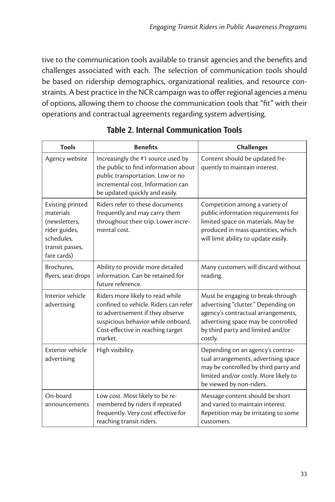tive to the communication tools available to transit agencies and the benefits and challenges associated with each. The selection of communication tools should be based on ridership demographics, organizational realities, and resource constraints. A best practice in the NCR campaign was to offer regional agencies a menu of options, allowing them to choose the communication tools that "fit" with their operations and contractual agreements regarding system advertising.

| <b>Tools</b>                                                                                                    | <b>Benefits</b>                                                                                                                                                                                     | <b>Challenges</b>                                                                                                                                                                                     |  |
|-----------------------------------------------------------------------------------------------------------------|-----------------------------------------------------------------------------------------------------------------------------------------------------------------------------------------------------|-------------------------------------------------------------------------------------------------------------------------------------------------------------------------------------------------------|--|
| Agency website                                                                                                  | Increasingly the #1 source used by<br>the public to find information about<br>public transportation. Low or no<br>incremental cost. Information can<br>be updated quickly and easily.               | Content should be updated fre-<br>quently to maintain interest.                                                                                                                                       |  |
| Existing printed<br>materials<br>(newsletters,<br>rider guides,<br>schedules.<br>transit passes,<br>fare cards) | Riders refer to these documents<br>frequently and may carry them<br>throughout their trip. Lower incre-<br>mental cost.                                                                             | Competition among a variety of<br>public information requirements for<br>limited space on materials. May be<br>produced in mass quantities, which<br>will limit ability to update easily.             |  |
| Brochures.<br>flyers, seat-drops                                                                                | Ability to provide more detailed<br>information. Can be retained for<br>future reference.                                                                                                           | Many customers will discard without<br>reading.                                                                                                                                                       |  |
| Interior vehicle<br>advertising                                                                                 | Riders more likely to read while<br>confined to vehicle. Riders can refer<br>to advertisement if they observe<br>suspicious behavior while onboard.<br>Cost-effective in reaching target<br>market. | Must be engaging to break-through<br>advertising "clutter." Depending on<br>agency's contractual arrangements,<br>advertising space may be controlled<br>by third party and limited and/or<br>costly. |  |
| <b>Exterior vehicle</b><br>advertising                                                                          | High visibility.                                                                                                                                                                                    | Depending on an agency's contrac-<br>tual arrangements, advertising space<br>may be controlled by third party and<br>limited and/or costly. More likely to<br>be viewed by non-riders.                |  |
| On-board<br>announcements                                                                                       | Low cost. Most likely to be re-<br>membered by riders if repeated<br>frequently. Very cost effective for<br>reaching transit riders.                                                                | Message content should be short<br>and varied to maintain interest.<br>Repetition may be irritating to some<br>customers.                                                                             |  |

#### Table 2. Internal Communication Tools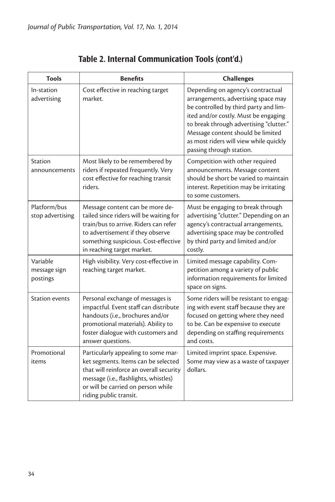| Tools                                | <b>Benefits</b>                                                                                                                                                                                                                | <b>Challenges</b>                                                                                                                                                                                                                                                                                               |
|--------------------------------------|--------------------------------------------------------------------------------------------------------------------------------------------------------------------------------------------------------------------------------|-----------------------------------------------------------------------------------------------------------------------------------------------------------------------------------------------------------------------------------------------------------------------------------------------------------------|
| In-station<br>advertising            | Cost effective in reaching target<br>market.                                                                                                                                                                                   | Depending on agency's contractual<br>arrangements, advertising space may<br>be controlled by third party and lim-<br>ited and/or costly. Must be engaging<br>to break through advertising "clutter."<br>Message content should be limited<br>as most riders will view while quickly<br>passing through station. |
| <b>Station</b><br>announcements      | Most likely to be remembered by<br>riders if repeated frequently. Very<br>cost effective for reaching transit<br>riders.                                                                                                       | Competition with other required<br>announcements. Message content<br>should be short be varied to maintain<br>interest. Repetition may be irritating<br>to some customers.                                                                                                                                      |
| Platform/bus<br>stop advertising     | Message content can be more de-<br>tailed since riders will be waiting for<br>train/bus to arrive. Riders can refer<br>to advertisement if they observe<br>something suspicious. Cost-effective<br>in reaching target market.  | Must be engaging to break through<br>advertising "clutter." Depending on an<br>agency's contractual arrangements,<br>advertising space may be controlled<br>by third party and limited and/or<br>costly.                                                                                                        |
| Variable<br>message sign<br>postings | High visibility. Very cost-effective in<br>reaching target market.                                                                                                                                                             | Limited message capability. Com-<br>petition among a variety of public<br>information requirements for limited<br>space on signs.                                                                                                                                                                               |
| <b>Station events</b>                | Personal exchange of messages is<br>impactful. Event staff can distribute<br>handouts (i.e., brochures and/or<br>promotional materials). Ability to<br>foster dialogue with customers and<br>answer questions.                 | Some riders will be resistant to engag-<br>ing with event staff because they are<br>focused on getting where they need<br>to be. Can be expensive to execute<br>depending on staffing requirements<br>and costs.                                                                                                |
| Promotional<br>items                 | Particularly appealing to some mar-<br>ket segments. Items can be selected<br>that will reinforce an overall security<br>message (i.e., flashlights, whistles)<br>or will be carried on person while<br>riding public transit. | Limited imprint space. Expensive.<br>Some may view as a waste of taxpayer<br>dollars.                                                                                                                                                                                                                           |

## Table 2. Internal Communication Tools (cont'd.)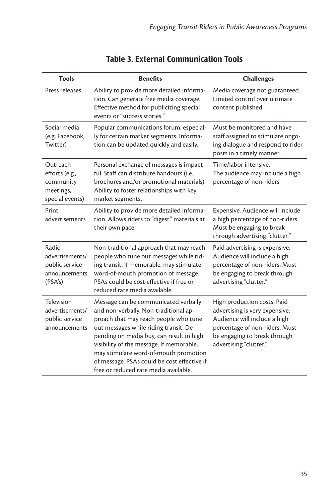| <b>Tools</b>                                                            | <b>Benefits</b>                                                                                                                                                                                                                                                                                                                                                                           | <b>Challenges</b>                                                                                                                                                                         |  |
|-------------------------------------------------------------------------|-------------------------------------------------------------------------------------------------------------------------------------------------------------------------------------------------------------------------------------------------------------------------------------------------------------------------------------------------------------------------------------------|-------------------------------------------------------------------------------------------------------------------------------------------------------------------------------------------|--|
| Press releases                                                          | Ability to provide more detailed informa-<br>tion. Can generate free media coverage.<br>Effective method for publicizing special<br>events or "success stories."                                                                                                                                                                                                                          | Media coverage not guaranteed.<br>Limited control over ultimate<br>content published.                                                                                                     |  |
| Social media<br>(e.g. Facebook,<br>Twitter)                             | Popular communications forum, especial-<br>ly for certain market segments. Informa-<br>tion can be updated quickly and easily.                                                                                                                                                                                                                                                            | Must be monitored and have<br>staff assigned to stimulate ongo-<br>ing dialogue and respond to rider<br>posts in a timely manner                                                          |  |
| Outreach<br>efforts (e.g.,<br>community<br>meetings,<br>special events) | Personal exchange of messages is impact-<br>ful. Staff can distribute handouts (i.e.<br>brochures and/or promotional materials).<br>Ability to foster relationships with key<br>market segments.                                                                                                                                                                                          | Time/labor intensive.<br>The audience may include a high<br>percentage of non-riders                                                                                                      |  |
| Print<br>advertisements                                                 | Ability to provide more detailed informa-<br>tion. Allows riders to "digest" materials at<br>their own pace.                                                                                                                                                                                                                                                                              | Expensive. Audience will include<br>a high percentage of non-riders.<br>Must be engaging to break<br>through advertising "clutter."                                                       |  |
| Radio<br>advertisements/<br>public service<br>announcements<br>(PSA's)  | Non-traditional approach that may reach<br>people who tune out messages while rid-<br>ing transit. If memorable, may stimulate<br>word-of-mouth promotion of message.<br>PSAs could be cost-effective if free or<br>reduced rate media available.                                                                                                                                         | Paid advertising is expensive.<br>Audience will include a high<br>percentage of non-riders. Must<br>be engaging to break through<br>advertising "clutter."                                |  |
| Television<br>advertisements/<br>public service<br>announcements        | Message can be communicated verbally<br>and non-verbally. Non-traditional ap-<br>proach that may reach people who tune<br>out messages while riding transit. De-<br>pending on media buy, can result in high<br>visibility of the message. If memorable,<br>may stimulate word-of-mouth promotion<br>of message. PSAs could be cost effective if<br>free or reduced rate media available. | High production costs. Paid<br>advertising is very expensive.<br>Audience will include a high<br>percentage of non-riders. Must<br>be engaging to break through<br>advertising "clutter." |  |

### Table 3. External Communication Tools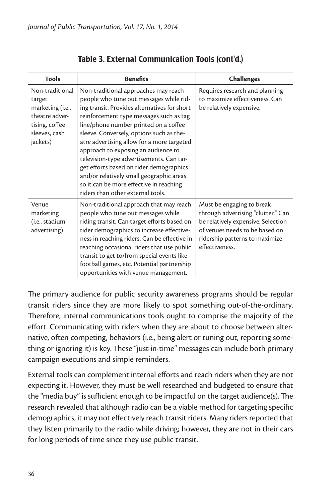| <b>Tools</b>                                                                                                   | <b>Benefits</b>                                                                                                                                                                                                                                                                                                                                                                                                                                                                                                                                                         | <b>Challenges</b>                                                                                                                                                                           |  |
|----------------------------------------------------------------------------------------------------------------|-------------------------------------------------------------------------------------------------------------------------------------------------------------------------------------------------------------------------------------------------------------------------------------------------------------------------------------------------------------------------------------------------------------------------------------------------------------------------------------------------------------------------------------------------------------------------|---------------------------------------------------------------------------------------------------------------------------------------------------------------------------------------------|--|
| Non-traditional<br>target<br>marketing (i.e.,<br>theatre adver-<br>tising, coffee<br>sleeves, cash<br>jackets) | Non-traditional approaches may reach<br>people who tune out messages while rid-<br>ing transit. Provides alternatives for short<br>reinforcement type messages such as tag<br>line/phone number printed on a coffee<br>sleeve. Conversely, options such as the-<br>atre advertising allow for a more targeted<br>approach to exposing an audience to<br>television-type advertisements. Can tar-<br>get efforts based on rider demographics<br>and/or relatively small geographic areas<br>so it can be more effective in reaching<br>riders than other external tools. | Requires research and planning<br>to maximize effectiveness. Can<br>be relatively expensive.                                                                                                |  |
| Venue<br>marketing<br>(i.e., stadium<br>advertising)                                                           | Non-traditional approach that may reach<br>people who tune out messages while<br>riding transit. Can target efforts based on<br>rider demographics to increase effective-<br>ness in reaching riders. Can be effective in<br>reaching occasional riders that use public<br>transit to get to/from special events like<br>football games, etc. Potential partnership<br>opportunities with venue management.                                                                                                                                                             | Must be engaging to break<br>through advertising "clutter." Can<br>be relatively expensive. Selection<br>of venues needs to be based on<br>ridership patterns to maximize<br>effectiveness. |  |

#### Table 3. External Communication Tools (cont'd.)

The primary audience for public security awareness programs should be regular transit riders since they are more likely to spot something out-of-the-ordinary. Therefore, internal communications tools ought to comprise the majority of the effort. Communicating with riders when they are about to choose between alternative, often competing, behaviors (i.e., being alert or tuning out, reporting something or ignoring it) is key. These "just-in-time" messages can include both primary campaign executions and simple reminders.

External tools can complement internal efforts and reach riders when they are not expecting it. However, they must be well researched and budgeted to ensure that the "media buy" is sufficient enough to be impactful on the target audience(s). The research revealed that although radio can be a viable method for targeting specific demographics, it may not effectively reach transit riders. Many riders reported that they listen primarily to the radio while driving; however, they are not in their cars for long periods of time since they use public transit.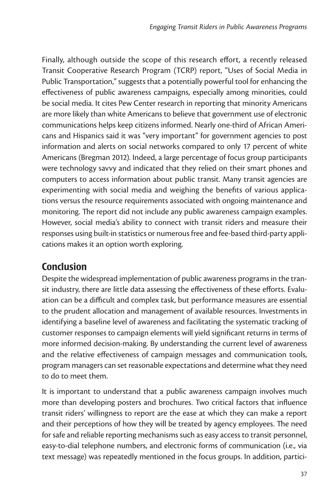Finally, although outside the scope of this research effort, a recently released Transit Cooperative Research Program (TCRP) report, "Uses of Social Media in Public Transportation," suggests that a potentially powerful tool for enhancing the effectiveness of public awareness campaigns, especially among minorities, could be social media. It cites Pew Center research in reporting that minority Americans are more likely than white Americans to believe that government use of electronic communications helps keep citizens informed. Nearly one-third of African Americans and Hispanics said it was "very important" for government agencies to post information and alerts on social networks compared to only 17 percent of white Americans (Bregman 2012). Indeed, a large percentage of focus group participants were technology savvy and indicated that they relied on their smart phones and computers to access information about public transit. Many transit agencies are experimenting with social media and weighing the benefits of various applications versus the resource requirements associated with ongoing maintenance and monitoring. The report did not include any public awareness campaign examples. However, social media's ability to connect with transit riders and measure their responses using built-in statistics or numerous free and fee-based third-party applications makes it an option worth exploring.

## Conclusion

Despite the widespread implementation of public awareness programs in the transit industry, there are little data assessing the effectiveness of these efforts. Evaluation can be a difficult and complex task, but performance measures are essential to the prudent allocation and management of available resources. Investments in identifying a baseline level of awareness and facilitating the systematic tracking of customer responses to campaign elements will yield significant returns in terms of more informed decision-making. By understanding the current level of awareness and the relative effectiveness of campaign messages and communication tools, program managers can set reasonable expectations and determine what they need to do to meet them.

It is important to understand that a public awareness campaign involves much more than developing posters and brochures. Two critical factors that influence transit riders' willingness to report are the ease at which they can make a report and their perceptions of how they will be treated by agency employees. The need for safe and reliable reporting mechanisms such as easy access to transit personnel, easy-to-dial telephone numbers, and electronic forms of communication (i.e., via text message) was repeatedly mentioned in the focus groups. In addition, partici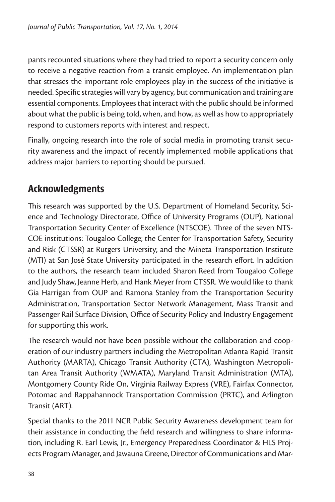pants recounted situations where they had tried to report a security concern only to receive a negative reaction from a transit employee. An implementation plan that stresses the important role employees play in the success of the initiative is needed. Specific strategies will vary by agency, but communication and training are essential components. Employees that interact with the public should be informed about what the public is being told, when, and how, as well as how to appropriately respond to customers reports with interest and respect.

Finally, ongoing research into the role of social media in promoting transit security awareness and the impact of recently implemented mobile applications that address major barriers to reporting should be pursued.

## Acknowledgments

This research was supported by the U.S. Department of Homeland Security, Science and Technology Directorate, Office of University Programs (OUP), National Transportation Security Center of Excellence (NTSCOE). Three of the seven NTS-COE institutions: Tougaloo College; the Center for Transportation Safety, Security and Risk (CTSSR) at Rutgers University; and the Mineta Transportation Institute (MTI) at San José State University participated in the research effort. In addition to the authors, the research team included Sharon Reed from Tougaloo College and Judy Shaw, Jeanne Herb, and Hank Meyer from CTSSR. We would like to thank Gia Harrigan from OUP and Ramona Stanley from the Transportation Security Administration, Transportation Sector Network Management, Mass Transit and Passenger Rail Surface Division, Office of Security Policy and Industry Engagement for supporting this work.

The research would not have been possible without the collaboration and cooperation of our industry partners including the Metropolitan Atlanta Rapid Transit Authority (MARTA), Chicago Transit Authority (CTA), Washington Metropolitan Area Transit Authority (WMATA), Maryland Transit Administration (MTA), Montgomery County Ride On, Virginia Railway Express (VRE), Fairfax Connector, Potomac and Rappahannock Transportation Commission (PRTC), and Arlington Transit (ART).

Special thanks to the 2011 NCR Public Security Awareness development team for their assistance in conducting the field research and willingness to share information, including R. Earl Lewis, Jr., Emergency Preparedness Coordinator & HLS Projects Program Manager, and Jawauna Greene, Director of Communications and Mar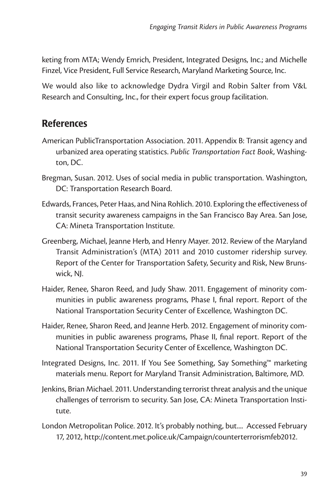keting from MTA; Wendy Emrich, President, Integrated Designs, Inc.; and Michelle Finzel, Vice President, Full Service Research, Maryland Marketing Source, Inc.

We would also like to acknowledge Dydra Virgil and Robin Salter from V&L Research and Consulting, Inc., for their expert focus group facilitation.

## **References**

- American PublicTransportation Association. 2011. Appendix B: Transit agency and urbanized area operating statistics. *Public Transportation Fact Book*, Washington, DC.
- Bregman, Susan. 2012. Uses of social media in public transportation. Washington, DC: Transportation Research Board.
- Edwards, Frances, Peter Haas, and Nina Rohlich. 2010. Exploring the effectiveness of transit security awareness campaigns in the San Francisco Bay Area. San Jose, CA: Mineta Transportation Institute.
- Greenberg, Michael, Jeanne Herb, and Henry Mayer. 2012. Review of the Maryland Transit Administration's (MTA) 2011 and 2010 customer ridership survey. Report of the Center for Transportation Safety, Security and Risk, New Brunswick, NJ.
- Haider, Renee, Sharon Reed, and Judy Shaw. 2011. Engagement of minority communities in public awareness programs, Phase I, final report. Report of the National Transportation Security Center of Excellence, Washington DC.
- Haider, Renee, Sharon Reed, and Jeanne Herb. 2012. Engagement of minority communities in public awareness programs, Phase II, final report. Report of the National Transportation Security Center of Excellence, Washington DC.
- Integrated Designs, Inc. 2011. If You See Something, Say Something™ marketing materials menu. Report for Maryland Transit Administration, Baltimore, MD.
- Jenkins, Brian Michael. 2011. Understanding terrorist threat analysis and the unique challenges of terrorism to security. San Jose, CA: Mineta Transportation Institute.
- London Metropolitan Police. 2012. It's probably nothing, but.... Accessed February 17, 2012, http://content.met.police.uk/Campaign/counterterrorismfeb2012.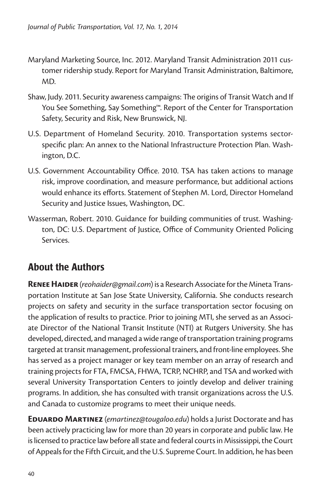- Maryland Marketing Source, Inc. 2012. Maryland Transit Administration 2011 customer ridership study. Report for Maryland Transit Administration, Baltimore, MD.
- Shaw, Judy. 2011. Security awareness campaigns: The origins of Transit Watch and If You See Something, Say Something™. Report of the Center for Transportation Safety, Security and Risk, New Brunswick, NJ.
- U.S. Department of Homeland Security. 2010. Transportation systems sectorspecific plan: An annex to the National Infrastructure Protection Plan. Washington, D.C.
- U.S. Government Accountability Office. 2010. TSA has taken actions to manage risk, improve coordination, and measure performance, but additional actions would enhance its efforts. Statement of Stephen M. Lord, Director Homeland Security and Justice Issues, Washington, DC.
- Wasserman, Robert. 2010. Guidance for building communities of trust. Washington, DC: U.S. Department of Justice, Office of Community Oriented Policing Services.

## About the Authors

**Renee Haider** (*reohaider@gmail.com*) is a Research Associate for the Mineta Transportation Institute at San Jose State University, California. She conducts research projects on safety and security in the surface transportation sector focusing on the application of results to practice. Prior to joining MTI, she served as an Associate Director of the National Transit Institute (NTI) at Rutgers University. She has developed, directed, and managed a wide range of transportation training programs targeted at transit management, professional trainers, and front-line employees. She has served as a project manager or key team member on an array of research and training projects for FTA, FMCSA, FHWA, TCRP, NCHRP, and TSA and worked with several University Transportation Centers to jointly develop and deliver training programs. In addition, she has consulted with transit organizations across the U.S. and Canada to customize programs to meet their unique needs.

**Eduardo Martinez** (*emartinez@tougaloo.edu*) holds a Jurist Doctorate and has been actively practicing law for more than 20 years in corporate and public law. He is licensed to practice law before all state and federal courts in Mississippi, the Court of Appeals for the Fifth Circuit, and the U.S. Supreme Court. In addition, he has been